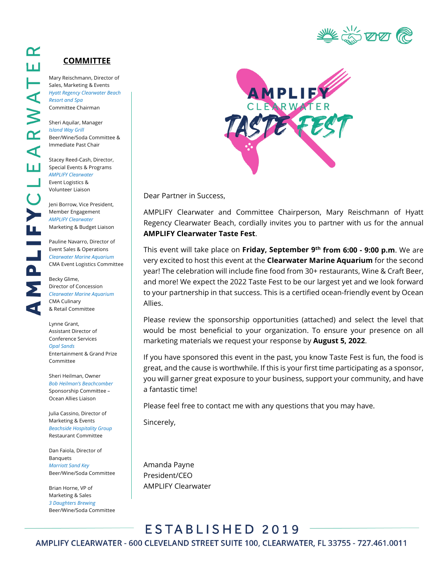

#### **COMMITTEE**

Mary Reischmann, Director of Sales, Marketing & Events *Hyatt Regency Clearwater Beach Resort and Spa* Committee Chairman

Sheri Aquilar, Manager *Island Way Grill* Beer/Wine/Soda Committee & Immediate Past Chair

Stacey Reed-Cash, Director, Special Events & Programs *AMPLIFY Clearwater* Event Logistics & Volunteer Liaison

Jeni Borrow, Vice President, Member Engagement *AMPLIFY Clearwater* Marketing & Budget Liaison

Pauline Navarro, Director of Event Sales & Operations *Clearwater Marine Aquarium* CMA Event Logistics Committee

Becky Glime, Director of Concession *Clearwater Marine Aquarium* CMA Culinary & Retail Committee

Lynne Grant, Assistant Director of Conference Services *Opal Sands* Entertainment & Grand Prize Committee

Sheri Heilman, Owner *Bob Heilman's Beachcomber* Sponsorship Committee – Ocean Allies Liaison

Julia Cassino, Director of Marketing & Events *Beachside Hospitality Group* Restaurant Committee

Dan Faiola, Director of **Banquets** *Marriott Sand Key* Beer/Wine/Soda Committee

Brian Horne, VP of Marketing & Sales *3 Daughters Brewing* Beer/Wine/Soda Committee



Dear Partner in Success,

AMPLIFY Clearwater and Committee Chairperson, Mary Reischmann of Hyatt Regency Clearwater Beach, cordially invites you to partner with us for the annual **AMPLIFY Clearwater Taste Fest**.

This event will take place on **Friday, September 9th from 6:00 - 9:00 p.m**. We are very excited to host this event at the **Clearwater Marine Aquarium** for the second year! The celebration will include fine food from 30+ restaurants, Wine & Craft Beer, and more! We expect the 2022 Taste Fest to be our largest yet and we look forward to your partnership in that success. This is a certified ocean-friendly event by Ocean Allies.

Please review the sponsorship opportunities (attached) and select the level that would be most beneficial to your organization. To ensure your presence on all marketing materials we request your response by **August 5, 2022**.

If you have sponsored this event in the past, you know Taste Fest is fun, the food is great, and the cause is worthwhile. If this is your first time participating as a sponsor, you will garner great exposure to your business, support your community, and have a fantastic time!

Please feel free to contact me with any questions that you may have.

Sincerely,

Amanda Payne President/CEO AMPLIFY Clearwater

ESTABLISHED 2019 AMPLIFY CLEARWATER - 600 CLEVELAND STREET SUITE 100, CLEARWATER, FL 33755 - 727.461.0011

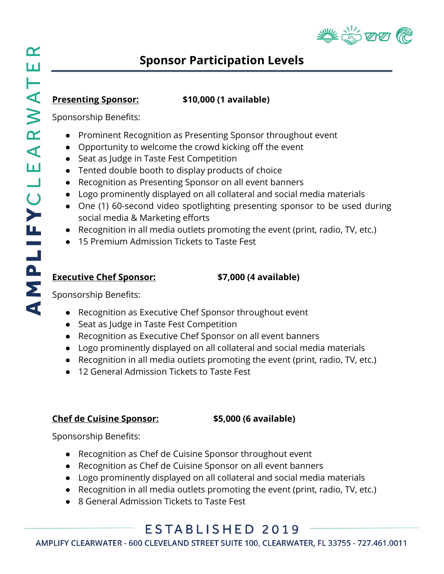

## **Sponsor Participation Levels**

#### **Presenting Sponsor: \$10,000 (1 available)**

Sponsorship Benefits:

- Prominent Recognition as Presenting Sponsor throughout event
- Opportunity to welcome the crowd kicking off the event
- Seat as Judge in Taste Fest Competition
- Tented double booth to display products of choice
- Recognition as Presenting Sponsor on all event banners
- Logo prominently displayed on all collateral and social media materials
- One (1) 60-second video spotlighting presenting sponsor to be used during social media & Marketing efforts
- Recognition in all media outlets promoting the event (print, radio, TV, etc.)
- 15 Premium Admission Tickets to Taste Fest

### **Executive Chef Sponsor: \$7,000 (4 available)**

Sponsorship Benefits:

- Recognition as Executive Chef Sponsor throughout event
- Seat as Judge in Taste Fest Competition
- Recognition as Executive Chef Sponsor on all event banners
- Logo prominently displayed on all collateral and social media materials
- Recognition in all media outlets promoting the event (print, radio, TV, etc.)
- 12 General Admission Tickets to Taste Fest

#### **Chef de Cuisine Sponsor: \$5,000 (6 available)**

Sponsorship Benefits:

- Recognition as Chef de Cuisine Sponsor throughout event
- Recognition as Chef de Cuisine Sponsor on all event banners
- Logo prominently displayed on all collateral and social media materials
- Recognition in all media outlets promoting the event (print, radio, TV, etc.)
- 8 General Admission Tickets to Taste Fest

# ESTABLISHED 2019

AMPLIFY CLEARWATER - 600 CLEVELAND STREET SUITE 100, CLEARWATER, FL 33755 - 727.461.0011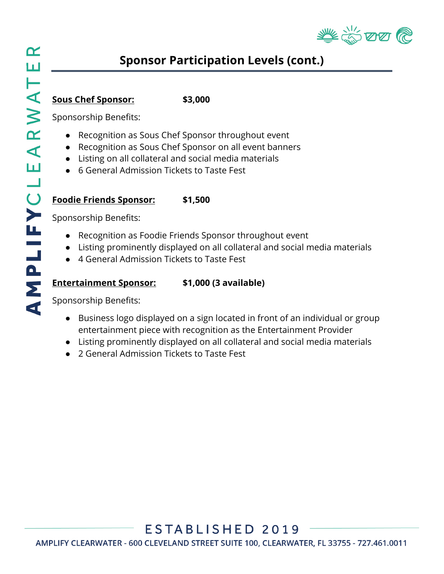

# **Sponsor Participation Levels (cont.)**

#### **Sous Chef Sponsor: \$3,000**

Sponsorship Benefits:

- Recognition as Sous Chef Sponsor throughout event
- Recognition as Sous Chef Sponsor on all event banners
- Listing on all collateral and social media materials
- 6 General Admission Tickets to Taste Fest

#### **Foodie Friends Sponsor: \$1,500**

Sponsorship Benefits:

- Recognition as Foodie Friends Sponsor throughout event
- Listing prominently displayed on all collateral and social media materials
- 4 General Admission Tickets to Taste Fest

#### **Entertainment Sponsor: \$1,000 (3 available)**

Sponsorship Benefits:

- Business logo displayed on a sign located in front of an individual or group entertainment piece with recognition as the Entertainment Provider
- Listing prominently displayed on all collateral and social media materials
- 2 General Admission Tickets to Taste Fest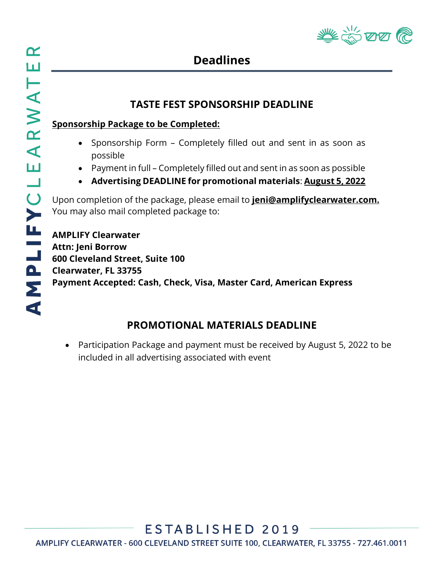

## **Deadlines**

### **TASTE FEST SPONSORSHIP DEADLINE**

#### **Sponsorship Package to be Completed:**

- Sponsorship Form Completely filled out and sent in as soon as possible
- Payment in full Completely filled out and sent in as soon as possible
- **Advertising DEADLINE for promotional materials**: **August 5, 2022**

Upon completion of the package, please email to **jeni@amplifyclearwater.com.** You may also mail completed package to:

**AMPLIFY Clearwater Attn: Jeni Borrow 600 Cleveland Street, Suite 100 Clearwater, FL 33755 Payment Accepted: Cash, Check, Visa, Master Card, American Express**

## **PROMOTIONAL MATERIALS DEADLINE**

• Participation Package and payment must be received by August 5, 2022 to be included in all advertising associated with event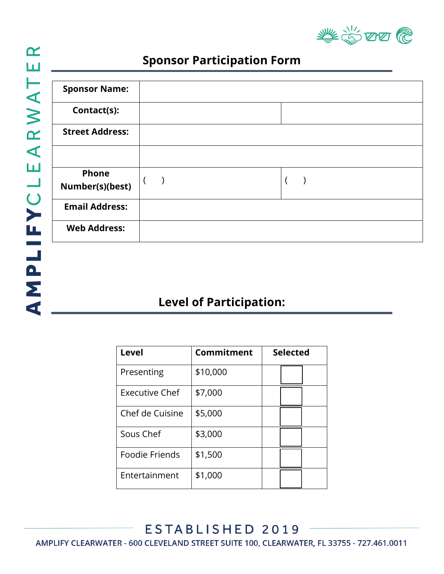

## **Sponsor Participation Form**

| <b>Sponsor Name:</b>            |  |
|---------------------------------|--|
| Contact(s):                     |  |
| <b>Street Address:</b>          |  |
|                                 |  |
| <b>Phone</b><br>Number(s)(best) |  |
| <b>Email Address:</b>           |  |
| <b>Web Address:</b>             |  |

## **Level of Participation:**

| <b>Level</b>    | Commitment | <b>Selected</b> |
|-----------------|------------|-----------------|
| Presenting      | \$10,000   |                 |
| Executive Chef  | \$7,000    |                 |
| Chef de Cuisine | \$5,000    |                 |
| Sous Chef       | \$3,000    |                 |
| Foodie Friends  | \$1,500    |                 |
| Entertainment   | \$1,000    |                 |

ESTABLISHED 2019 AMPLIFY CLEARWATER - 600 CLEVELAND STREET SUITE 100, CLEARWATER, FL 33755 - 727.461.0011